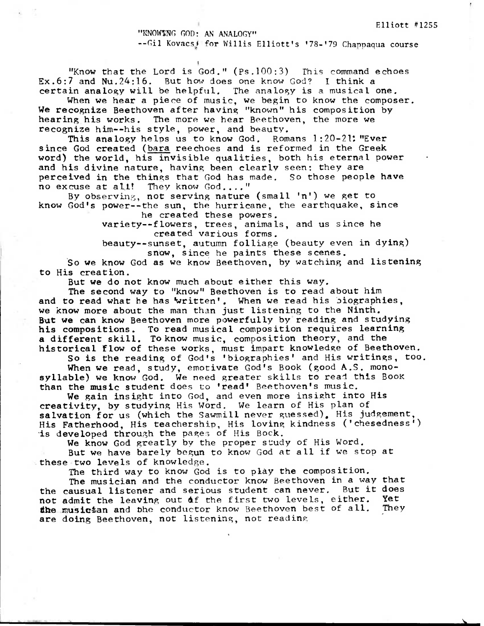"KNOWING GOD: AN ANALOGY"

--Gil Koyacs for Willis Elliott's '78-'79 Chappaqua course

"Know that the Lord is God." (Ps.100:3) This command echoes Ex.6:7 and Nu.24:16. But how does one know God? I think a certain analogy will be helpful. The analogy is a musical one.

When we hear a piece of music, we begin to know the composer. We recognize Beethoven after having "known" his composition by hearing his works. The more we hear Beethoven, the more we recognize him--his style, power, and beauty.<br>This analogy helps us to know God. Romans 1:20-21: "Ever

This analogy helps us to know God. since God created (bara reechoes and is reformed in the Greek word) the world, his invisible qualities, both his eternal power and his divine nature, having been clearly seen: they are perceived in the things that God has made. So those people have no excuse at all! They know God...."

By observing, not serving nature (small 'n') we get to know God's power--the sun, the hurricane, the earthquake, since

he created these powers.

variety--flowers, trees, animals, and us since he created various forms.

beauty--sunset, autumn folliage (beauty even in dying) snow, since he paints these scenes.

So we know God as we know Beethoven, by watching and listening to His creation.

But we do not know much about either this way.

The second way to "know" Beethoven is to read about him and to read what he has written'. When we read his biographies, we know more about the man than just listening to the Ninth. But we can know Beethoven more powerfully by reading and studying his compositions. To read musical composition requires learning a different skill. To know music, composition theory, and the historical flow of these works, must impart knowledge of Beethoven.

So is the reading of God's 'biographies' and His writings, too.

When we read, study, emotivate God's Book (good A.S. monosyllable) we know God. We need greater skills to read this Book than the music student does to 'read' Beethoven's music.

We gain insight into God, and even more insight into His creativity, by studying His Word. We learn of His plan of salvation for us (which the Sawmill never guessed). His judgement, His Fatherhood, His teachership, His loving kindness ('chesedness') is developed through the pages of His Bock.

We know God greatly by the proper study of His Word.

But we have barely begun to know God at all if we stop at these two levels of knowledge.

The third way to know God is to play the composition.

The musician and the conductor know Beethoven in a way that the causual listener and serious student can never. But it does<br>not admit the leaving out of the first two levels, either. Yet not admit the leaving out df the first two levels, either. Yet<br>the musician and the conductor know Beethoven best of all. They the musician and the conductor know Beethoven best of all. are doing Beethoven, not listening, not reading